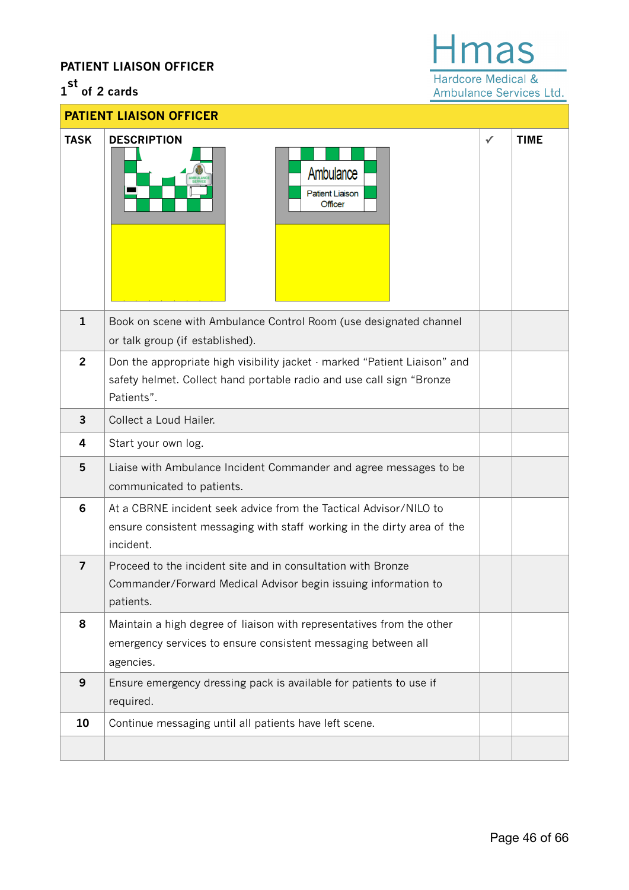# **PATIENT LIAISON OFFICER**

# **1 st of 2 cards**

# **Hmas** Hardcore Medical &

Ambulance Services Ltd.

| <b>PATIENT LIAISON OFFICER</b> |                                                                                                                                                                 |              |             |
|--------------------------------|-----------------------------------------------------------------------------------------------------------------------------------------------------------------|--------------|-------------|
| <b>TASK</b>                    | <b>DESCRIPTION</b><br>Ambulance<br><b>Patient Liaison</b><br>Officer                                                                                            | $\checkmark$ | <b>TIME</b> |
| $\mathbf{1}$                   | Book on scene with Ambulance Control Room (use designated channel<br>or talk group (if established).                                                            |              |             |
| $\overline{2}$                 | Don the appropriate high visibility jacket - marked "Patient Liaison" and<br>safety helmet. Collect hand portable radio and use call sign "Bronze<br>Patients". |              |             |
| $\overline{3}$                 | Collect a Loud Hailer.                                                                                                                                          |              |             |
| 4                              | Start your own log.                                                                                                                                             |              |             |
| 5                              | Liaise with Ambulance Incident Commander and agree messages to be<br>communicated to patients.                                                                  |              |             |
| $6\phantom{1}6$                | At a CBRNE incident seek advice from the Tactical Advisor/NILO to<br>ensure consistent messaging with staff working in the dirty area of the<br>incident.       |              |             |
| 7                              | Proceed to the incident site and in consultation with Bronze<br>Commander/Forward Medical Advisor begin issuing information to<br>patients.                     |              |             |
| 8                              | Maintain a high degree of liaison with representatives from the other<br>emergency services to ensure consistent messaging between all<br>agencies.             |              |             |
| 9                              | Ensure emergency dressing pack is available for patients to use if<br>required.                                                                                 |              |             |
| 10                             | Continue messaging until all patients have left scene.                                                                                                          |              |             |
|                                |                                                                                                                                                                 |              |             |